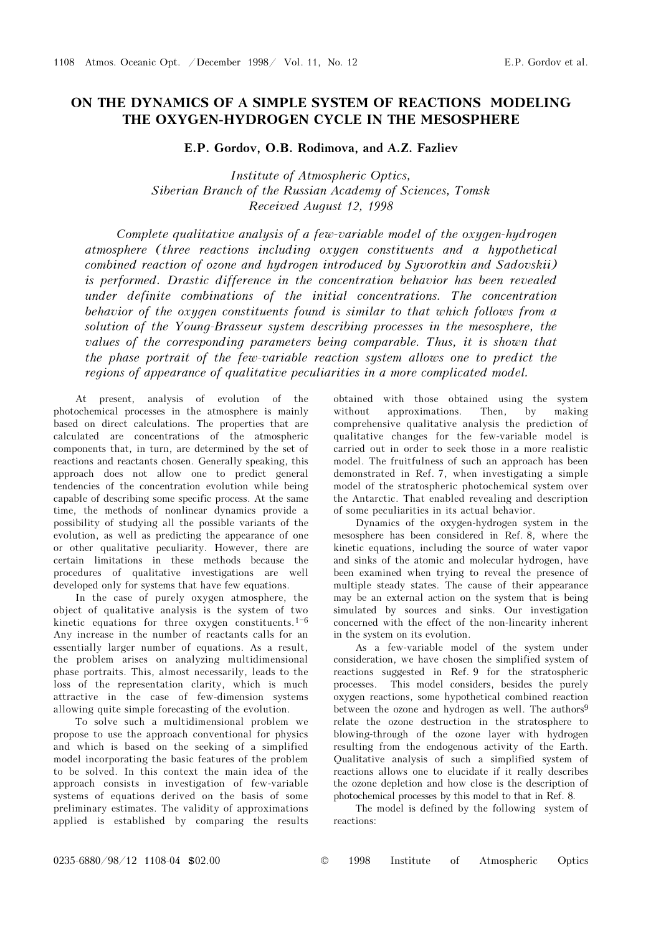## ON THE DYNAMICS OF A SIMPLE SYSTEM OF REACTIONS MODELING THE OXYGEN-HYDROGEN CYCLE IN THE MESOSPHERE

E.P. Gordov, O.B. Rodimova, and A.Z. Fazliev

Institute of Atmospheric Optics, Siberian Branch of the Russian Academy of Sciences, Tomsk Received August 12, 1998

Complete qualitative analysis of a few-variable model of the oxygen-hydrogen atmosphere (three reactions including oxygen constituents and a hypothetical combined reaction of ozone and hydrogen introduced by Syvorotkin and Sadovskii) is performed. Drastic difference in the concentration behavior has been revealed under definite combinations of the initial concentrations. The concentration behavior of the oxygen constituents found is similar to that which follows from a solution of the Young-Brasseur system describing processes in the mesosphere, the values of the corresponding parameters being comparable. Thus, it is shown that the phase portrait of the few-variable reaction system allows one to predict the regions of appearance of qualitative peculiarities in a more complicated model.

At present, analysis of evolution of the photochemical processes in the atmosphere is mainly based on direct calculations. The properties that are calculated are concentrations of the atmospheric components that, in turn, are determined by the set of reactions and reactants chosen. Generally speaking, this approach does not allow one to predict general tendencies of the concentration evolution while being capable of describing some specific process. At the same time, the methods of nonlinear dynamics provide a possibility of studying all the possible variants of the evolution, as well as predicting the appearance of one or other qualitative peculiarity. However, there are certain limitations in these methods because the procedures of qualitative investigations are well developed only for systems that have few equations.

In the case of purely oxygen atmosphere, the object of qualitative analysis is the system of two kinetic equations for three oxygen constituents. $1-6$ Any increase in the number of reactants calls for an essentially larger number of equations. As a result, the problem arises on analyzing multidimensional phase portraits. This, almost necessarily, leads to the loss of the representation clarity, which is much attractive in the case of few-dimension systems allowing quite simple forecasting of the evolution.

To solve such a multidimensional problem we propose to use the approach conventional for physics and which is based on the seeking of a simplified model incorporating the basic features of the problem to be solved. In this context the main idea of the approach consists in investigation of few-variable systems of equations derived on the basis of some preliminary estimates. The validity of approximations applied is established by comparing the results obtained with those obtained using the system without approximations. Then, by making comprehensive qualitative analysis the prediction of qualitative changes for the few-variable model is carried out in order to seek those in a more realistic model. The fruitfulness of such an approach has been demonstrated in Ref. 7, when investigating a simple model of the stratospheric photochemical system over the Antarctic. That enabled revealing and description of some peculiarities in its actual behavior.

Dynamics of the oxygen-hydrogen system in the mesosphere has been considered in Ref. 8, where the kinetic equations, including the source of water vapor and sinks of the atomic and molecular hydrogen, have been examined when trying to reveal the presence of multiple steady states. The cause of their appearance may be an external action on the system that is being simulated by sources and sinks. Our investigation concerned with the effect of the non-linearity inherent in the system on its evolution.

As a few-variable model of the system under consideration, we have chosen the simplified system of reactions suggested in Ref. 9 for the stratospheric processes. This model considers, besides the purely oxygen reactions, some hypothetical combined reaction between the ozone and hydrogen as well. The authors<sup>9</sup> relate the ozone destruction in the stratosphere to blowing-through of the ozone layer with hydrogen resulting from the endogenous activity of the Earth. Qualitative analysis of such a simplified system of reactions allows one to elucidate if it really describes the ozone depletion and how close is the description of photochemical processes by this model to that in Ref. 8.

The model is defined by the following system of reactions: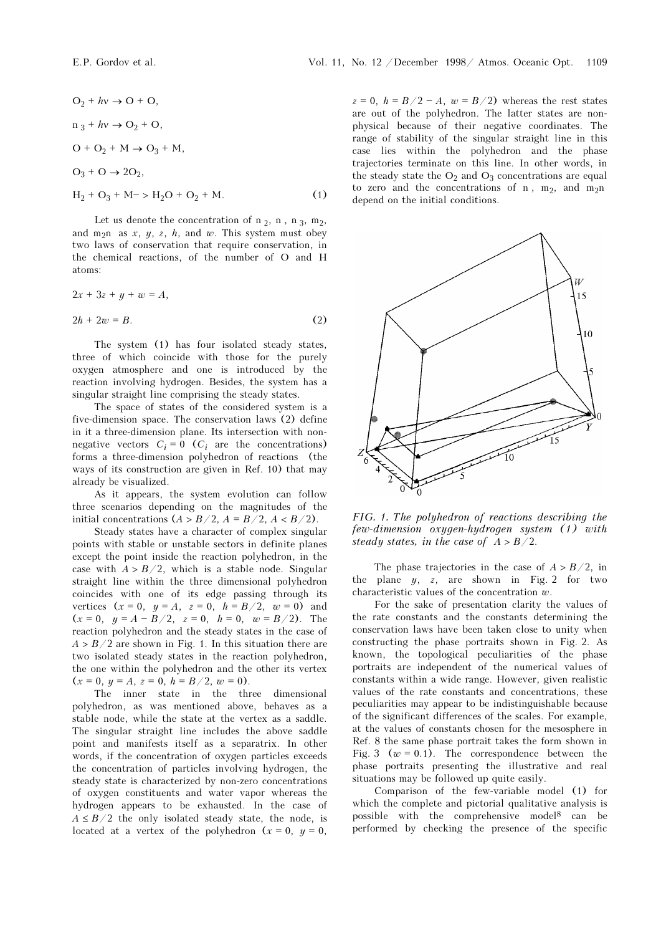$$
O_2 + hv \to O + O,
$$
  
\n
$$
n_3 + hv \to O_2 + O,
$$
  
\n
$$
O + O_2 + M \to O_3 + M,
$$
  
\n
$$
O_3 + O \to 2O_2,
$$
  
\n
$$
H_2 + O_3 + M \to H_2O + O_2 + M.
$$
 (1)

Let us denote the concentration of  $n_2$ ,  $n_1$ ,  $n_3$ ,  $m_2$ , and m<sub>2</sub>n as x, y, z, h, and w. This system must obey two laws of conservation that require conservation, in the chemical reactions, of the number of O and H atoms:

$$
2x + 3z + y + w = A,
$$
  

$$
2h + 2w = B.
$$
 (2)

The system (1) has four isolated steady states, three of which coincide with those for the purely oxygen atmosphere and one is introduced by the reaction involving hydrogen. Besides, the system has a singular straight line comprising the steady states.

The space of states of the considered system is a five-dimension space. The conservation laws (2) define in it a three-dimension plane. Its intersection with nonnegative vectors  $C_i = 0$  ( $C_i$  are the concentrations) forms a three-dimension polyhedron of reactions (the ways of its construction are given in Ref. 10) that may already be visualized.

As it appears, the system evolution can follow three scenarios depending on the magnitudes of the initial concentrations  $(A > B/2, A = B/2, A < B/2)$ .

Steady states have a character of complex singular points with stable or unstable sectors in definite planes except the point inside the reaction polyhedron, in the case with  $A > B/2$ , which is a stable node. Singular straight line within the three dimensional polyhedron coincides with one of its edge passing through its vertices  $(x = 0, y = A, z = 0, h = B/2, w = 0)$  and  $(x = 0, y = A - B/2, z = 0, h = 0, w = B/2)$ . The reaction polyhedron and the steady states in the case of  $A > B/2$  are shown in Fig. 1. In this situation there are two isolated steady states in the reaction polyhedron, the one within the polyhedron and the other its vertex  $(x = 0, y = A, z = 0, h = B/2, w = 0).$ 

The inner state in the three dimensional polyhedron, as was mentioned above, behaves as a stable node, while the state at the vertex as a saddle. The singular straight line includes the above saddle point and manifests itself as a separatrix. In other words, if the concentration of oxygen particles exceeds the concentration of particles involving hydrogen, the steady state is characterized by non-zero concentrations of oxygen constituents and water vapor whereas the hydrogen appears to be exhausted. In the case of  $A \leq B/2$  the only isolated steady state, the node, is located at a vertex of the polyhedron  $(x = 0, y = 0,$ 

 $z = 0$ ,  $h = B/2 - A$ ,  $w = B/2$ ) whereas the rest states are out of the polyhedron. The latter states are nonphysical because of their negative coordinates. The range of stability of the singular straight line in this case lies within the polyhedron and the phase trajectories terminate on this line. In other words, in the steady state the  $O_2$  and  $O_3$  concentrations are equal to zero and the concentrations of n,  $m_2$ , and  $m_2n$ depend on the initial conditions.



FIG. 1. The polyhedron of reactions describing the few-dimension oxygen-hydrogen system (1) with steady states, in the case of  $A > B/2$ .

The phase trajectories in the case of  $A > B/2$ , in the plane  $y$ , z, are shown in Fig. 2 for two characteristic values of the concentration  $w$ .

For the sake of presentation clarity the values of the rate constants and the constants determining the conservation laws have been taken close to unity when constructing the phase portraits shown in Fig. 2. As known, the topological peculiarities of the phase portraits are independent of the numerical values of constants within a wide range. However, given realistic values of the rate constants and concentrations, these peculiarities may appear to be indistinguishable because of the significant differences of the scales. For example, at the values of constants chosen for the mesosphere in Ref. 8 the same phase portrait takes the form shown in Fig. 3 ( $w = 0.1$ ). The correspondence between the phase portraits presenting the illustrative and real situations may be followed up quite easily.

Comparison of the few-variable model (1) for which the complete and pictorial qualitative analysis is possible with the comprehensive model8 can be performed by checking the presence of the specific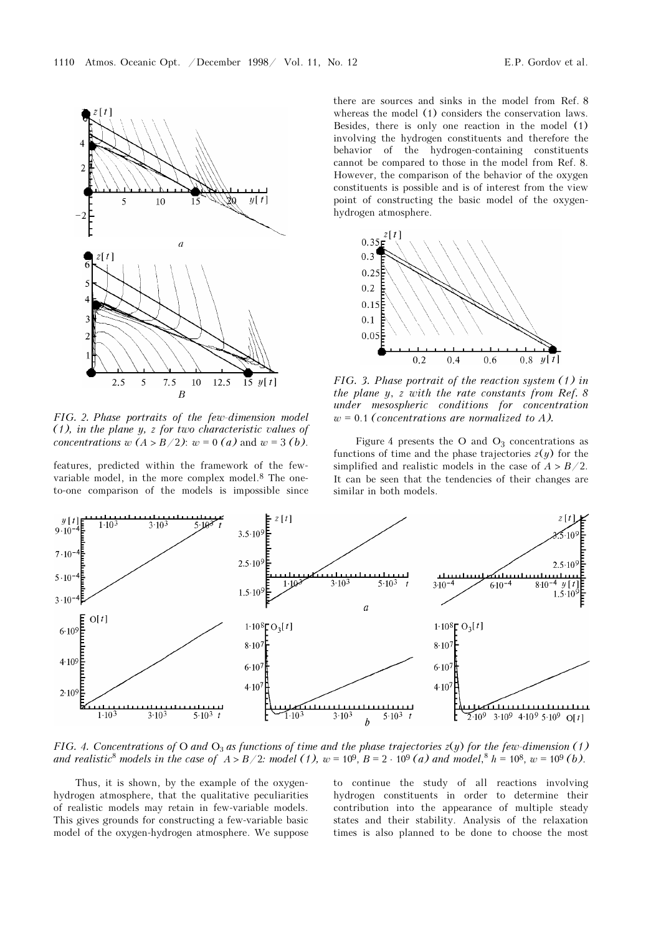

FIG. 2. Phase portraits of the few-dimension model (1), in the plane y, z for two characteristic values of concentrations  $w(A > B/2)$ :  $w = 0$  (a) and  $w = 3$  (b).

features, predicted within the framework of the fewvariable model, in the more complex model.8 The oneto-one comparison of the models is impossible since there are sources and sinks in the model from Ref. 8 whereas the model (1) considers the conservation laws. Besides, there is only one reaction in the model (1) involving the hydrogen constituents and therefore the behavior of the hydrogen-containing constituents cannot be compared to those in the model from Ref. 8. However, the comparison of the behavior of the oxygen constituents is possible and is of interest from the view point of constructing the basic model of the oxygenhydrogen atmosphere.



FIG. 3. Phase portrait of the reaction system (1) in the plane y, z with the rate constants from Ref. 8 under mesospheric conditions for concentration  $w = 0.1$  (concentrations are normalized to A).

Figure 4 presents the O and  $O_3$  concentrations as functions of time and the phase trajectories  $z(y)$  for the simplified and realistic models in the case of  $A > B/2$ . It can be seen that the tendencies of their changes are similar in both models.



FIG. 4. Concentrations of O and  $O_3$  as functions of time and the phase trajectories  $z(y)$  for the few-dimension (1) and realistic<sup>8</sup> models in the case of  $A > B/2$ : model (1), w = 109, B = 2 ⋅ 109 (a) and model,<sup>8</sup> h = 108, w = 109 (b).

Thus, it is shown, by the example of the oxygenhydrogen atmosphere, that the qualitative peculiarities of realistic models may retain in few-variable models. This gives grounds for constructing a few-variable basic model of the oxygen-hydrogen atmosphere. We suppose to continue the study of all reactions involving hydrogen constituents in order to determine their contribution into the appearance of multiple steady states and their stability. Analysis of the relaxation times is also planned to be done to choose the most